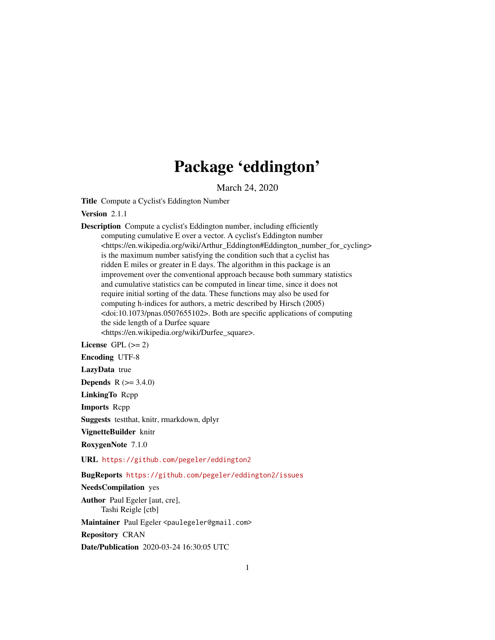# Package 'eddington'

March 24, 2020

Title Compute a Cyclist's Eddington Number

Version 2.1.1

Description Compute a cyclist's Eddington number, including efficiently computing cumulative E over a vector. A cyclist's Eddington number <https://en.wikipedia.org/wiki/Arthur\_Eddington#Eddington\_number\_for\_cycling> is the maximum number satisfying the condition such that a cyclist has ridden E miles or greater in E days. The algorithm in this package is an improvement over the conventional approach because both summary statistics and cumulative statistics can be computed in linear time, since it does not require initial sorting of the data. These functions may also be used for computing h-indices for authors, a metric described by Hirsch (2005) <doi:10.1073/pnas.0507655102>. Both are specific applications of computing the side length of a Durfee square <https://en.wikipedia.org/wiki/Durfee\_square>.

License GPL  $(>= 2)$ 

Encoding UTF-8

LazyData true

**Depends** R  $(>= 3.4.0)$ 

LinkingTo Rcpp

Imports Rcpp

Suggests testthat, knitr, rmarkdown, dplyr

VignetteBuilder knitr

RoxygenNote 7.1.0

URL <https://github.com/pegeler/eddington2>

BugReports <https://github.com/pegeler/eddington2/issues>

#### NeedsCompilation yes

Author Paul Egeler [aut, cre], Tashi Reigle [ctb]

Maintainer Paul Egeler <paulegeler@gmail.com>

Repository CRAN

Date/Publication 2020-03-24 16:30:05 UTC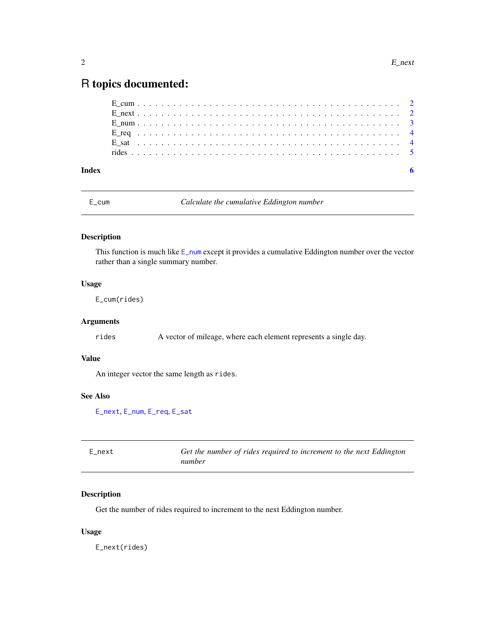## <span id="page-1-0"></span>R topics documented:

| Index |  |  |  |  |  |  |  |  |  |  |  |  |  |  |  |  |  |  |  |  |
|-------|--|--|--|--|--|--|--|--|--|--|--|--|--|--|--|--|--|--|--|--|
|       |  |  |  |  |  |  |  |  |  |  |  |  |  |  |  |  |  |  |  |  |
|       |  |  |  |  |  |  |  |  |  |  |  |  |  |  |  |  |  |  |  |  |
|       |  |  |  |  |  |  |  |  |  |  |  |  |  |  |  |  |  |  |  |  |
|       |  |  |  |  |  |  |  |  |  |  |  |  |  |  |  |  |  |  |  |  |
|       |  |  |  |  |  |  |  |  |  |  |  |  |  |  |  |  |  |  |  |  |
|       |  |  |  |  |  |  |  |  |  |  |  |  |  |  |  |  |  |  |  |  |

<span id="page-1-2"></span>

E\_cum *Calculate the cumulative Eddington number*

#### Description

This function is much like [E\\_num](#page-2-1) except it provides a cumulative Eddington number over the vector rather than a single summary number.

#### Usage

E\_cum(rides)

#### Arguments

rides A vector of mileage, where each element represents a single day.

#### Value

An integer vector the same length as rides.

## See Also

[E\\_next](#page-1-1), [E\\_num](#page-2-1), [E\\_req](#page-3-1), [E\\_sat](#page-3-2)

<span id="page-1-1"></span>

| E next | Get the number of rides required to increment to the next Eddington |
|--------|---------------------------------------------------------------------|
|        | number                                                              |

#### Description

Get the number of rides required to increment to the next Eddington number.

#### Usage

E\_next(rides)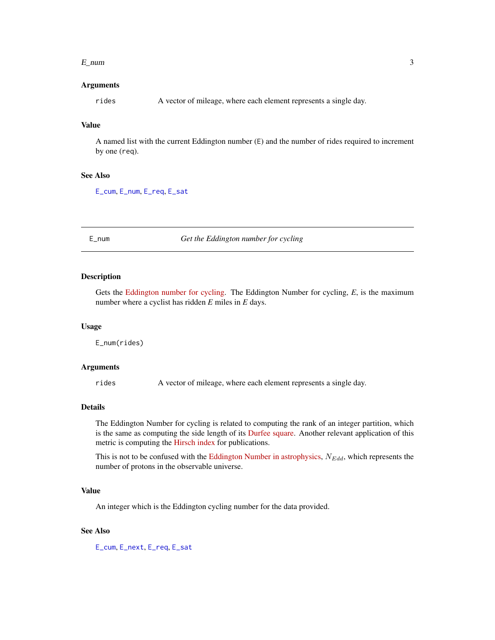#### <span id="page-2-0"></span> $E_{\text{num}}$  3

#### Arguments

rides A vector of mileage, where each element represents a single day.

#### Value

A named list with the current Eddington number (E) and the number of rides required to increment by one (req).

#### See Also

[E\\_cum](#page-1-2), [E\\_num](#page-2-1), [E\\_req](#page-3-1), [E\\_sat](#page-3-2)

<span id="page-2-1"></span>E\_num *Get the Eddington number for cycling*

#### Description

Gets the [Eddington number for cycling.](https://en.wikipedia.org/wiki/Arthur_Eddington#Eddington_number_for_cycling) The Eddington Number for cycling, *E*, is the maximum number where a cyclist has ridden *E* miles in *E* days.

#### Usage

E\_num(rides)

#### Arguments

rides A vector of mileage, where each element represents a single day.

#### Details

The Eddington Number for cycling is related to computing the rank of an integer partition, which is the same as computing the side length of its [Durfee square.](https://en.wikipedia.org/wiki/Durfee_square) Another relevant application of this metric is computing the [Hirsch index](https://doi.org/10.1073/pnas.0507655102) for publications.

This is not to be confused with the [Eddington Number in astrophysics,](https://en.wikipedia.org/wiki/Eddington_number)  $N_{Edd}$ , which represents the number of protons in the observable universe.

#### Value

An integer which is the Eddington cycling number for the data provided.

#### See Also

[E\\_cum](#page-1-2), [E\\_next](#page-1-1), [E\\_req](#page-3-1), [E\\_sat](#page-3-2)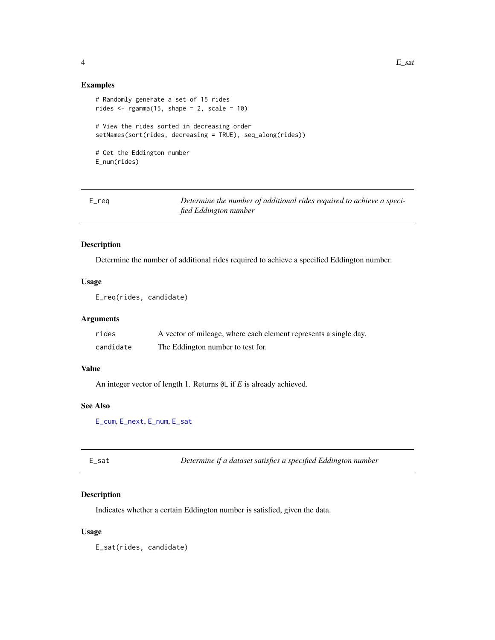#### <span id="page-3-0"></span>Examples

```
# Randomly generate a set of 15 rides
rides \leq rgamma(15, shape = 2, scale = 10)
# View the rides sorted in decreasing order
setNames(sort(rides, decreasing = TRUE), seq_along(rides))
# Get the Eddington number
E_num(rides)
```
<span id="page-3-1"></span>E\_req *Determine the number of additional rides required to achieve a specified Eddington number*

#### Description

Determine the number of additional rides required to achieve a specified Eddington number.

#### Usage

```
E_req(rides, candidate)
```
#### Arguments

| rides     | A vector of mileage, where each element represents a single day. |
|-----------|------------------------------------------------------------------|
| candidate | The Eddington number to test for.                                |

#### Value

An integer vector of length 1. Returns 0L if *E* is already achieved.

#### See Also

[E\\_cum](#page-1-2), [E\\_next](#page-1-1), [E\\_num](#page-2-1), [E\\_sat](#page-3-2)

<span id="page-3-2"></span>E\_sat *Determine if a dataset satisfies a specified Eddington number*

#### Description

Indicates whether a certain Eddington number is satisfied, given the data.

#### Usage

E\_sat(rides, candidate)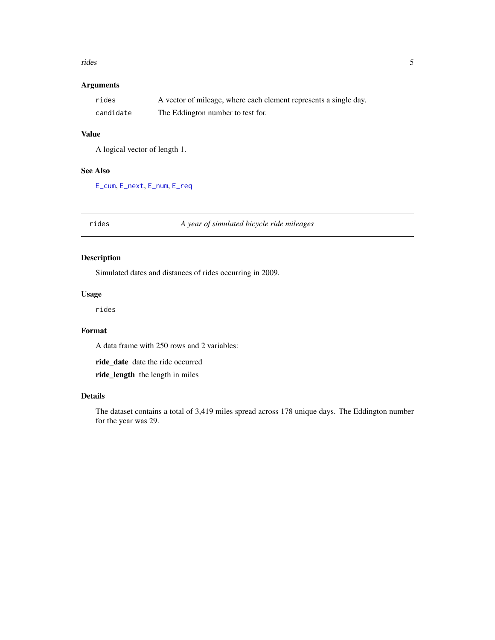#### <span id="page-4-0"></span>rides 5

## Arguments

| rides     | A vector of mileage, where each element represents a single day. |
|-----------|------------------------------------------------------------------|
| candidate | The Eddington number to test for.                                |

#### Value

A logical vector of length 1.

#### See Also

[E\\_cum](#page-1-2), [E\\_next](#page-1-1), [E\\_num](#page-2-1), [E\\_req](#page-3-1)

rides *A year of simulated bicycle ride mileages*

#### Description

Simulated dates and distances of rides occurring in 2009.

#### Usage

rides

#### Format

A data frame with 250 rows and 2 variables:

ride\_date date the ride occurred ride\_length the length in miles

#### Details

The dataset contains a total of 3,419 miles spread across 178 unique days. The Eddington number for the year was 29.